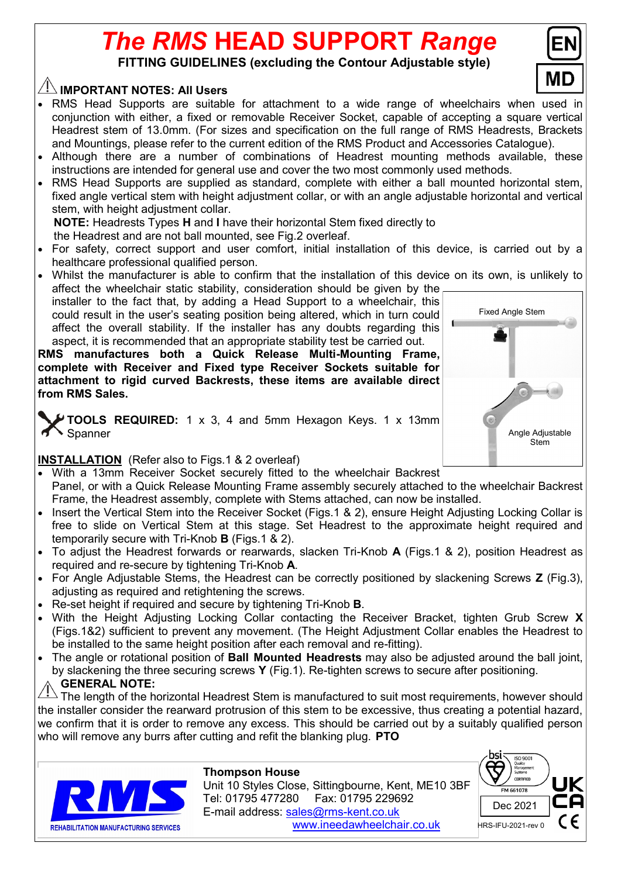# *The RMS* **HEAD SUPPORT** *Range*

**FITTING GUIDELINES (excluding the Contour Adjustable style)**

## **IMPORTANT NOTES: All Users**

- RMS Head Supports are suitable for attachment to a wide range of wheelchairs when used in conjunction with either, a fixed or removable Receiver Socket, capable of accepting a square vertical Headrest stem of 13.0mm. (For sizes and specification on the full range of RMS Headrests, Brackets and Mountings, please refer to the current edition of the RMS Product and Accessories Catalogue).
- Although there are a number of combinations of Headrest mounting methods available, these instructions are intended for general use and cover the two most commonly used methods.
- RMS Head Supports are supplied as standard, complete with either a ball mounted horizontal stem, fixed angle vertical stem with height adjustment collar, or with an angle adjustable horizontal and vertical stem, with height adjustment collar.

 **NOTE:** Headrests Types **H** and **I** have their horizontal Stem fixed directly to the Headrest and are not ball mounted, see Fig.2 overleaf.

- For safety, correct support and user comfort, initial installation of this device, is carried out by a healthcare professional qualified person.
- Whilst the manufacturer is able to confirm that the installation of this device on its own, is unlikely to affect the wheelchair static stability, consideration should be given by the

installer to the fact that, by adding a Head Support to a wheelchair, this could result in the user's seating position being altered, which in turn could affect the overall stability. If the installer has any doubts regarding this aspect, it is recommended that an appropriate stability test be carried out.

**RMS manufactures both a Quick Release Multi-Mounting Frame, complete with Receiver and Fixed type Receiver Sockets suitable for attachment to rigid curved Backrests, these items are available direct from RMS Sales.** 

**TOOLS REQUIRED:** 1 x 3, 4 and 5mm Hexagon Keys. 1 x 13mm Spanner

## **INSTALLATION** (Refer also to Figs.1 & 2 overleaf)

- With a 13mm Receiver Socket securely fitted to the wheelchair Backrest Panel, or with a Quick Release Mounting Frame assembly securely attached to the wheelchair Backrest Frame, the Headrest assembly, complete with Stems attached, can now be installed.
- Insert the Vertical Stem into the Receiver Socket (Figs.1 & 2), ensure Height Adjusting Locking Collar is free to slide on Vertical Stem at this stage. Set Headrest to the approximate height required and temporarily secure with Tri-Knob **B** (Figs.1 & 2).
- To adjust the Headrest forwards or rearwards, slacken Tri-Knob **A** (Figs.1 & 2), position Headrest as required and re-secure by tightening Tri-Knob **A**.
- For Angle Adjustable Stems, the Headrest can be correctly positioned by slackening Screws **Z** (Fig.3), adjusting as required and retightening the screws.
- Re-set height if required and secure by tightening Tri-Knob **B**.
- With the Height Adjusting Locking Collar contacting the Receiver Bracket, tighten Grub Screw **X** (Figs.1&2) sufficient to prevent any movement. (The Height Adjustment Collar enables the Headrest to be installed to the same height position after each removal and re-fitting).
- The angle or rotational position of **Ball Mounted Headrests** may also be adjusted around the ball joint, by slackening the three securing screws **Y** (Fig.1). Re-tighten screws to secure after positioning. **GENERAL NOTE:**

The length of the horizontal Headrest Stem is manufactured to suit most requirements, however should the installer consider the rearward protrusion of this stem to be excessive, thus creating a potential hazard, we confirm that it is order to remove any excess. This should be carried out by a suitably qualified person who will remove any burrs after cutting and refit the blanking plug. **PTO**



#### **Thompson House**

 Unit 10 Styles Close, Sittingbourne, Kent, ME10 3BF Tel: 01795 477280 Fax: 01795 229692 E-mail address: sales@rms-kent.co.uk www.ineedawheelchair.co.uk